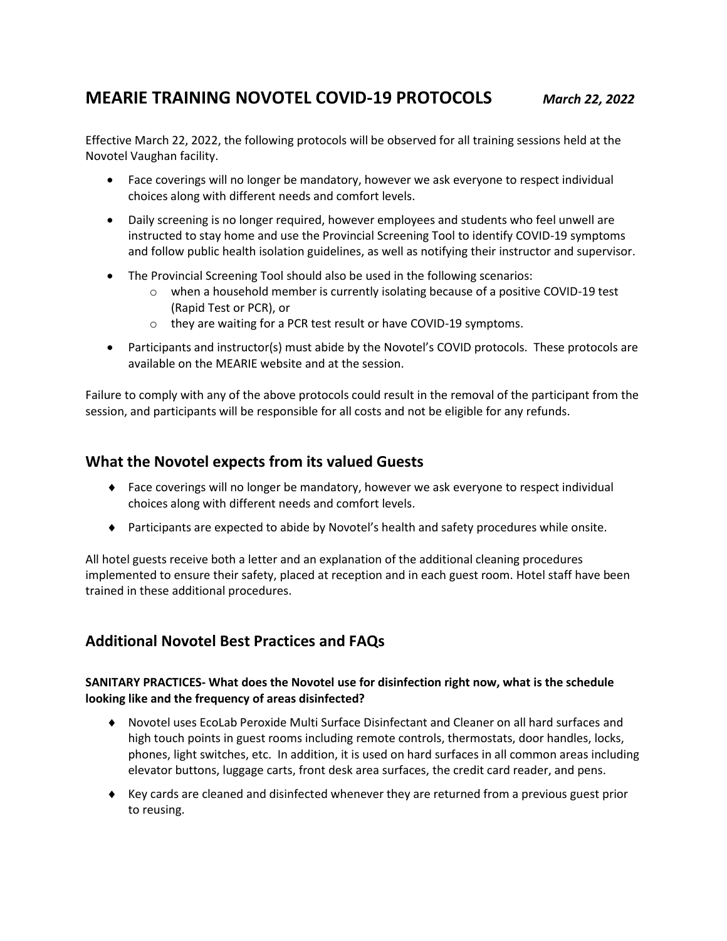# **MEARIE TRAINING NOVOTEL COVID-19 PROTOCOLS** *March 22, 2022*

Effective March 22, 2022, the following protocols will be observed for all training sessions held at the Novotel Vaughan facility.

- Face coverings will no longer be mandatory, however we ask everyone to respect individual choices along with different needs and comfort levels.
- Daily screening is no longer required, however employees and students who feel unwell are instructed to stay home and use the Provincial Screening Tool to identify COVID-19 symptoms and follow public health isolation guidelines, as well as notifying their instructor and supervisor.
- The Provincial Screening Tool should also be used in the following scenarios:
	- $\circ$  when a household member is currently isolating because of a positive COVID-19 test (Rapid Test or PCR), or
	- o they are waiting for a PCR test result or have COVID-19 symptoms.
- Participants and instructor(s) must abide by the Novotel's COVID protocols. These protocols are available on the MEARIE website and at the session.

Failure to comply with any of the above protocols could result in the removal of the participant from the session, and participants will be responsible for all costs and not be eligible for any refunds.

# **What the Novotel expects from its valued Guests**

- Face coverings will no longer be mandatory, however we ask everyone to respect individual choices along with different needs and comfort levels.
- Participants are expected to abide by Novotel's health and safety procedures while onsite.

All hotel guests receive both a letter and an explanation of the additional cleaning procedures implemented to ensure their safety, placed at reception and in each guest room. Hotel staff have been trained in these additional procedures.

# **Additional Novotel Best Practices and FAQs**

## **SANITARY PRACTICES- What does the Novotel use for disinfection right now, what is the schedule looking like and the frequency of areas disinfected?**

- Novotel uses EcoLab Peroxide Multi Surface Disinfectant and Cleaner on all hard surfaces and high touch points in guest rooms including remote controls, thermostats, door handles, locks, phones, light switches, etc. In addition, it is used on hard surfaces in all common areas including elevator buttons, luggage carts, front desk area surfaces, the credit card reader, and pens.
- $\blacklozenge$  Key cards are cleaned and disinfected whenever they are returned from a previous guest prior to reusing.